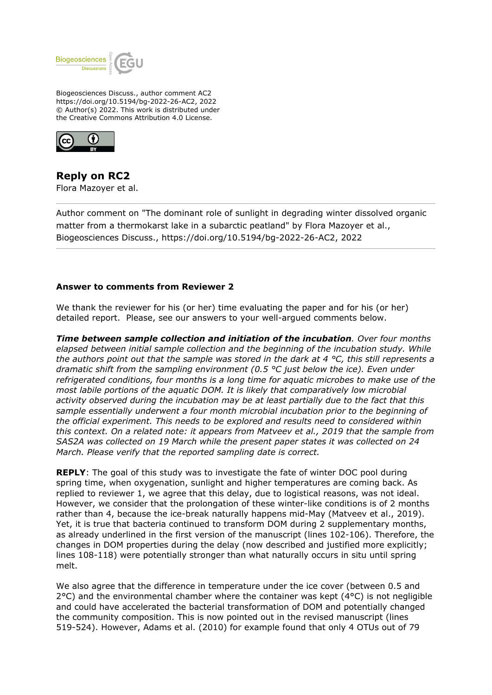

Biogeosciences Discuss., author comment AC2 https://doi.org/10.5194/bg-2022-26-AC2, 2022 © Author(s) 2022. This work is distributed under the Creative Commons Attribution 4.0 License.



**Reply on RC2** Flora Mazoyer et al.

Author comment on "The dominant role of sunlight in degrading winter dissolved organic matter from a thermokarst lake in a subarctic peatland" by Flora Mazoyer et al., Biogeosciences Discuss., https://doi.org/10.5194/bg-2022-26-AC2, 2022

## **Answer to comments from Reviewer 2**

We thank the reviewer for his (or her) time evaluating the paper and for his (or her) detailed report. Please, see our answers to your well-argued comments below.

*Time between sample collection and initiation of the incubation. Over four months elapsed between initial sample collection and the beginning of the incubation study. While the authors point out that the sample was stored in the dark at 4 °C, this still represents a dramatic shift from the sampling environment (0.5 °C just below the ice). Even under refrigerated conditions, four months is a long time for aquatic microbes to make use of the most labile portions of the aquatic DOM. It is likely that comparatively low microbial activity observed during the incubation may be at least partially due to the fact that this sample essentially underwent a four month microbial incubation prior to the beginning of the official experiment. This needs to be explored and results need to considered within this context. On a related note: it appears from Matveev et al., 2019 that the sample from SAS2A was collected on 19 March while the present paper states it was collected on 24 March. Please verify that the reported sampling date is correct.*

**REPLY**: The goal of this study was to investigate the fate of winter DOC pool during spring time, when oxygenation, sunlight and higher temperatures are coming back. As replied to reviewer 1, we agree that this delay, due to logistical reasons, was not ideal. However, we consider that the prolongation of these winter-like conditions is of 2 months rather than 4, because the ice-break naturally happens mid-May (Matveev et al., 2019). Yet, it is true that bacteria continued to transform DOM during 2 supplementary months, as already underlined in the first version of the manuscript (lines 102-106). Therefore, the changes in DOM properties during the delay (now described and justified more explicitly; lines 108-118) were potentially stronger than what naturally occurs in situ until spring melt.

We also agree that the difference in temperature under the ice cover (between 0.5 and  $2^{\circ}$ C) and the environmental chamber where the container was kept ( $4^{\circ}$ C) is not negligible and could have accelerated the bacterial transformation of DOM and potentially changed the community composition. This is now pointed out in the revised manuscript (lines 519-524). However, Adams et al. (2010) for example found that only 4 OTUs out of 79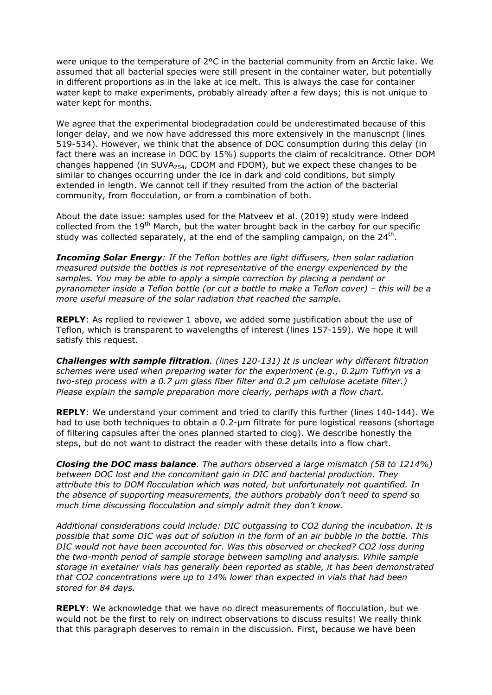were unique to the temperature of 2°C in the bacterial community from an Arctic lake. We assumed that all bacterial species were still present in the container water, but potentially in different proportions as in the lake at ice melt. This is always the case for container water kept to make experiments, probably already after a few days; this is not unique to water kept for months.

We agree that the experimental biodegradation could be underestimated because of this longer delay, and we now have addressed this more extensively in the manuscript (lines 519-534). However, we think that the absence of DOC consumption during this delay (in fact there was an increase in DOC by 15%) supports the claim of recalcitrance. Other DOM changes happened (in SUVA $_{254}$ , CDOM and FDOM), but we expect these changes to be similar to changes occurring under the ice in dark and cold conditions, but simply extended in length. We cannot tell if they resulted from the action of the bacterial community, from flocculation, or from a combination of both.

About the date issue: samples used for the Matveev et al. (2019) study were indeed collected from the 19<sup>th</sup> March, but the water brought back in the carboy for our specific study was collected separately, at the end of the sampling campaign, on the 24<sup>th</sup>.

*Incoming Solar Energy: If the Teflon bottles are light diffusers, then solar radiation measured outside the bottles is not representative of the energy experienced by the samples. You may be able to apply a simple correction by placing a pendant or pyranometer inside a Teflon bottle (or cut a bottle to make a Teflon cover) – this will be a more useful measure of the solar radiation that reached the sample.*

**REPLY**: As replied to reviewer 1 above, we added some justification about the use of Teflon, which is transparent to wavelengths of interest (lines 157-159). We hope it will satisfy this request.

*Challenges with sample filtration. (lines 120-131) It is unclear why different filtration schemes were used when preparing water for the experiment (e.g., 0.2μm Tuffryn vs a two-step process with a 0.7 μm glass fiber filter and 0.2 μm cellulose acetate filter.) Please explain the sample preparation more clearly, perhaps with a flow chart.*

**REPLY**: We understand your comment and tried to clarify this further (lines 140-144). We had to use both techniques to obtain a 0.2-um filtrate for pure logistical reasons (shortage of filtering capsules after the ones planned started to clog). We describe honestly the steps, but do not want to distract the reader with these details into a flow chart.

*Closing the DOC mass balance. The authors observed a large mismatch (58 to 1214%) between DOC lost and the concomitant gain in DIC and bacterial production. They attribute this to DOM flocculation which was noted, but unfortunately not quantified. In the absence of supporting measurements, the authors probably don't need to spend so much time discussing flocculation and simply admit they don't know.* 

*Additional considerations could include: DIC outgassing to CO2 during the incubation. It is possible that some DIC was out of solution in the form of an air bubble in the bottle. This DIC would not have been accounted for. Was this observed or checked? CO2 loss during the two-month period of sample storage between sampling and analysis. While sample storage in exetainer vials has generally been reported as stable, it has been demonstrated that CO2 concentrations were up to 14% lower than expected in vials that had been stored for 84 days.*

**REPLY**: We acknowledge that we have no direct measurements of flocculation, but we would not be the first to rely on indirect observations to discuss results! We really think that this paragraph deserves to remain in the discussion. First, because we have been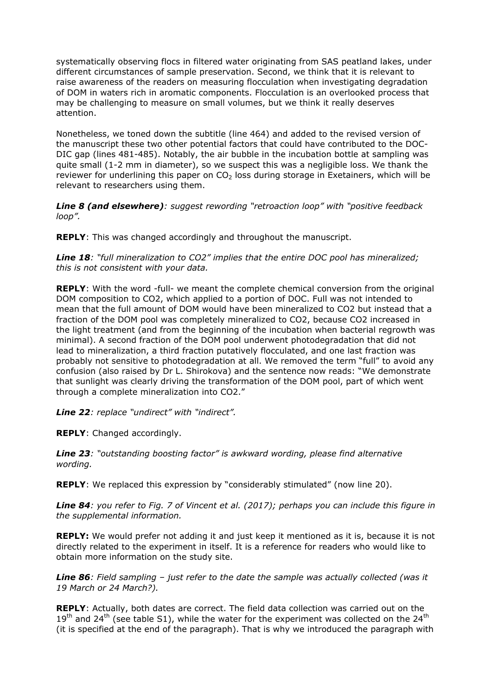systematically observing flocs in filtered water originating from SAS peatland lakes, under different circumstances of sample preservation. Second, we think that it is relevant to raise awareness of the readers on measuring flocculation when investigating degradation of DOM in waters rich in aromatic components. Flocculation is an overlooked process that may be challenging to measure on small volumes, but we think it really deserves attention.

Nonetheless, we toned down the subtitle (line 464) and added to the revised version of the manuscript these two other potential factors that could have contributed to the DOC-DIC gap (lines 481-485). Notably, the air bubble in the incubation bottle at sampling was quite small (1-2 mm in diameter), so we suspect this was a negligible loss. We thank the reviewer for underlining this paper on  $CO<sub>2</sub>$  loss during storage in Exetainers, which will be relevant to researchers using them.

*Line 8 (and elsewhere): suggest rewording "retroaction loop" with "positive feedback loop".*

**REPLY**: This was changed accordingly and throughout the manuscript.

*Line 18: "full mineralization to CO2" implies that the entire DOC pool has mineralized; this is not consistent with your data.*

**REPLY**: With the word -full- we meant the complete chemical conversion from the original DOM composition to CO2, which applied to a portion of DOC. Full was not intended to mean that the full amount of DOM would have been mineralized to CO2 but instead that a fraction of the DOM pool was completely mineralized to CO2, because CO2 increased in the light treatment (and from the beginning of the incubation when bacterial regrowth was minimal). A second fraction of the DOM pool underwent photodegradation that did not lead to mineralization, a third fraction putatively flocculated, and one last fraction was probably not sensitive to photodegradation at all. We removed the term "full" to avoid any confusion (also raised by Dr L. Shirokova) and the sentence now reads: "We demonstrate that sunlight was clearly driving the transformation of the DOM pool, part of which went through a complete mineralization into CO2."

*Line 22: replace "undirect" with "indirect".*

**REPLY**: Changed accordingly.

*Line 23: "outstanding boosting factor" is awkward wording, please find alternative wording.*

**REPLY**: We replaced this expression by "considerably stimulated" (now line 20).

*Line 84: you refer to Fig. 7 of Vincent et al. (2017); perhaps you can include this figure in the supplemental information.*

**REPLY:** We would prefer not adding it and just keep it mentioned as it is, because it is not directly related to the experiment in itself. It is a reference for readers who would like to obtain more information on the study site.

*Line 86: Field sampling – just refer to the date the sample was actually collected (was it 19 March or 24 March?).*

**REPLY**: Actually, both dates are correct. The field data collection was carried out on the  $19<sup>th</sup>$  and 24<sup>th</sup> (see table S1), while the water for the experiment was collected on the 24<sup>th</sup> (it is specified at the end of the paragraph). That is why we introduced the paragraph with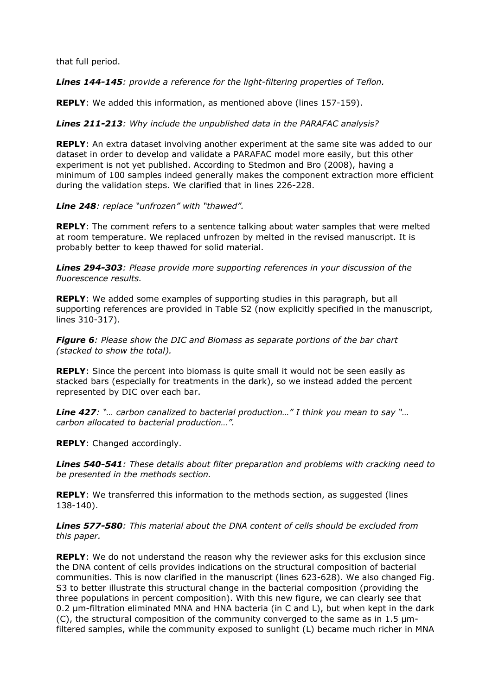that full period.

*Lines 144-145: provide a reference for the light-filtering properties of Teflon.*

**REPLY**: We added this information, as mentioned above (lines 157-159).

*Lines 211-213: Why include the unpublished data in the PARAFAC analysis?*

**REPLY**: An extra dataset involving another experiment at the same site was added to our dataset in order to develop and validate a PARAFAC model more easily, but this other experiment is not yet published. According to Stedmon and Bro (2008), having a minimum of 100 samples indeed generally makes the component extraction more efficient during the validation steps. We clarified that in lines 226-228.

*Line 248: replace "unfrozen" with "thawed".*

**REPLY**: The comment refers to a sentence talking about water samples that were melted at room temperature. We replaced unfrozen by melted in the revised manuscript. It is probably better to keep thawed for solid material.

*Lines 294-303: Please provide more supporting references in your discussion of the fluorescence results.*

**REPLY**: We added some examples of supporting studies in this paragraph, but all supporting references are provided in Table S2 (now explicitly specified in the manuscript, lines 310-317).

*Figure 6: Please show the DIC and Biomass as separate portions of the bar chart (stacked to show the total).*

**REPLY**: Since the percent into biomass is quite small it would not be seen easily as stacked bars (especially for treatments in the dark), so we instead added the percent represented by DIC over each bar.

*Line 427: "… carbon canalized to bacterial production…" I think you mean to say "… carbon allocated to bacterial production…".*

**REPLY**: Changed accordingly.

*Lines 540-541: These details about filter preparation and problems with cracking need to be presented in the methods section.*

**REPLY**: We transferred this information to the methods section, as suggested (lines 138-140).

*Lines 577-580: This material about the DNA content of cells should be excluded from this paper.*

**REPLY**: We do not understand the reason why the reviewer asks for this exclusion since the DNA content of cells provides indications on the structural composition of bacterial communities. This is now clarified in the manuscript (lines 623-628). We also changed Fig. S3 to better illustrate this structural change in the bacterial composition (providing the three populations in percent composition). With this new figure, we can clearly see that 0.2 µm-filtration eliminated MNA and HNA bacteria (in C and L), but when kept in the dark  $(C)$ , the structural composition of the community converged to the same as in 1.5  $\mu$ mfiltered samples, while the community exposed to sunlight (L) became much richer in MNA